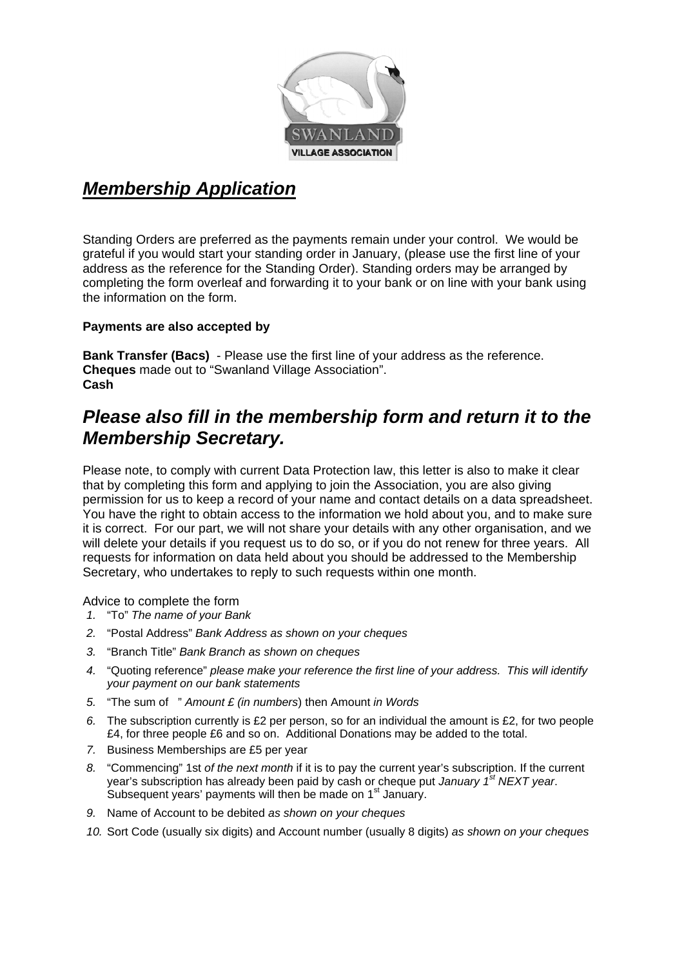

# *Membership Application*

Standing Orders are preferred as the payments remain under your control. We would be grateful if you would start your standing order in January, (please use the first line of your address as the reference for the Standing Order). Standing orders may be arranged by completing the form overleaf and forwarding it to your bank or on line with your bank using the information on the form.

#### **Payments are also accepted by**

**Bank Transfer (Bacs)** - Please use the first line of your address as the reference. **Cheques** made out to "Swanland Village Association". **Cash** 

## *Please also fill in the membership form and return it to the Membership Secretary.*

Please note, to comply with current Data Protection law, this letter is also to make it clear that by completing this form and applying to join the Association, you are also giving permission for us to keep a record of your name and contact details on a data spreadsheet. You have the right to obtain access to the information we hold about you, and to make sure it is correct. For our part, we will not share your details with any other organisation, and we will delete your details if you request us to do so, or if you do not renew for three years. All requests for information on data held about you should be addressed to the Membership Secretary, who undertakes to reply to such requests within one month.

Advice to complete the form

- *1.* "To" *The name of your Bank*
- *2.* "Postal Address" *Bank Address as shown on your cheques*
- *3.* "Branch Title" *Bank Branch as shown on cheques*
- *4.* "Quoting reference" *please make your reference the first line of your address. This will identify your payment on our bank statements*
- *5.* "The sum of " *Amount £ (in numbers*) then Amount *in Words*
- *6.* The subscription currently is £2 per person, so for an individual the amount is £2, for two people £4, for three people £6 and so on. Additional Donations may be added to the total.
- *7.* Business Memberships are £5 per year
- *8.* "Commencing" 1st *of the next month* if it is to pay the current year's subscription. If the current year's subscription has already been paid by cash or cheque put *January 1st NEXT year*. Subsequent years' payments will then be made on 1<sup>st</sup> January.
- *9.* Name of Account to be debited *as shown on your cheques*
- *10.* Sort Code (usually six digits) and Account number (usually 8 digits) *as shown on your cheques*